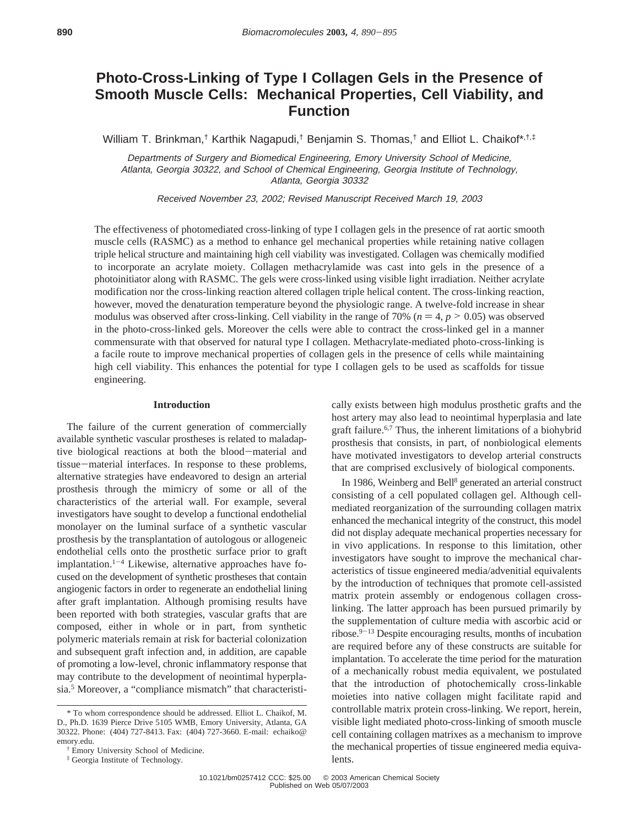# **Photo-Cross-Linking of Type I Collagen Gels in the Presence of Smooth Muscle Cells: Mechanical Properties, Cell Viability, and Function**

William T. Brinkman,<sup>†</sup> Karthik Nagapudi,<sup>†</sup> Benjamin S. Thomas,<sup>†</sup> and Elliot L. Chaikof\*,<sup>†,‡</sup>

Departments of Surgery and Biomedical Engineering, Emory University School of Medicine, Atlanta, Georgia 30322, and School of Chemical Engineering, Georgia Institute of Technology, Atlanta, Georgia 30332

Received November 23, 2002; Revised Manuscript Received March 19, 2003

The effectiveness of photomediated cross-linking of type I collagen gels in the presence of rat aortic smooth muscle cells (RASMC) as a method to enhance gel mechanical properties while retaining native collagen triple helical structure and maintaining high cell viability was investigated. Collagen was chemically modified to incorporate an acrylate moiety. Collagen methacrylamide was cast into gels in the presence of a photoinitiator along with RASMC. The gels were cross-linked using visible light irradiation. Neither acrylate modification nor the cross-linking reaction altered collagen triple helical content. The cross-linking reaction, however, moved the denaturation temperature beyond the physiologic range. A twelve-fold increase in shear modulus was observed after cross-linking. Cell viability in the range of 70% ( $n = 4$ ,  $p > 0.05$ ) was observed in the photo-cross-linked gels. Moreover the cells were able to contract the cross-linked gel in a manner commensurate with that observed for natural type I collagen. Methacrylate-mediated photo-cross-linking is a facile route to improve mechanical properties of collagen gels in the presence of cells while maintaining high cell viability. This enhances the potential for type I collagen gels to be used as scaffolds for tissue engineering.

## **Introduction**

The failure of the current generation of commercially available synthetic vascular prostheses is related to maladaptive biological reactions at both the blood-material and tissue-material interfaces. In response to these problems, alternative strategies have endeavored to design an arterial prosthesis through the mimicry of some or all of the characteristics of the arterial wall. For example, several investigators have sought to develop a functional endothelial monolayer on the luminal surface of a synthetic vascular prosthesis by the transplantation of autologous or allogeneic endothelial cells onto the prosthetic surface prior to graft implantation.<sup>1-4</sup> Likewise, alternative approaches have focused on the development of synthetic prostheses that contain angiogenic factors in order to regenerate an endothelial lining after graft implantation. Although promising results have been reported with both strategies, vascular grafts that are composed, either in whole or in part, from synthetic polymeric materials remain at risk for bacterial colonization and subsequent graft infection and, in addition, are capable of promoting a low-level, chronic inflammatory response that may contribute to the development of neointimal hyperplasia.<sup>5</sup> Moreover, a "compliance mismatch" that characteristically exists between high modulus prosthetic grafts and the host artery may also lead to neointimal hyperplasia and late graft failure.6,7 Thus, the inherent limitations of a biohybrid prosthesis that consists, in part, of nonbiological elements have motivated investigators to develop arterial constructs that are comprised exclusively of biological components.

In 1986, Weinberg and Bell<sup>8</sup> generated an arterial construct consisting of a cell populated collagen gel. Although cellmediated reorganization of the surrounding collagen matrix enhanced the mechanical integrity of the construct, this model did not display adequate mechanical properties necessary for in vivo applications. In response to this limitation, other investigators have sought to improve the mechanical characteristics of tissue engineered media/advenitial equivalents by the introduction of techniques that promote cell-assisted matrix protein assembly or endogenous collagen crosslinking. The latter approach has been pursued primarily by the supplementation of culture media with ascorbic acid or ribose. $9-13$  Despite encouraging results, months of incubation are required before any of these constructs are suitable for implantation. To accelerate the time period for the maturation of a mechanically robust media equivalent, we postulated that the introduction of photochemically cross-linkable moieties into native collagen might facilitate rapid and controllable matrix protein cross-linking. We report, herein, visible light mediated photo-cross-linking of smooth muscle cell containing collagen matrixes as a mechanism to improve the mechanical properties of tissue engineered media equivalents.

<sup>\*</sup> To whom correspondence should be addressed. Elliot L. Chaikof, M. D., Ph.D. 1639 Pierce Drive 5105 WMB, Emory University, Atlanta, GA 30322. Phone: (404) 727-8413. Fax: (404) 727-3660. E-mail: echaiko@ emory.edu.

<sup>†</sup> Emory University School of Medicine.

<sup>‡</sup> Georgia Institute of Technology.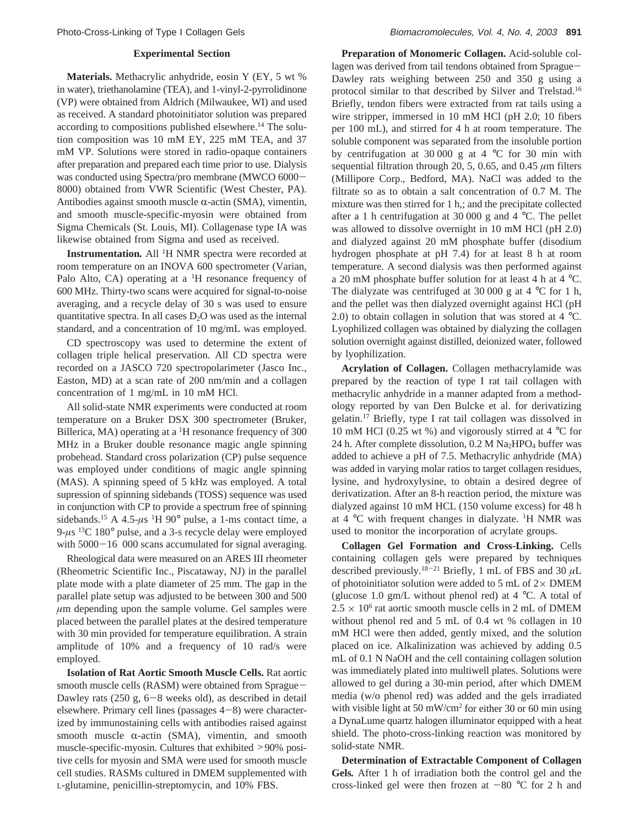### **Experimental Section**

**Materials.** Methacrylic anhydride, eosin Y (EY, 5 wt % in water), triethanolamine (TEA), and 1-vinyl-2-pyrrolidinone (VP) were obtained from Aldrich (Milwaukee, WI) and used as received. A standard photoinitiator solution was prepared according to compositions published elsewhere.14 The solution composition was 10 mM EY, 225 mM TEA, and 37 mM VP. Solutions were stored in radio-opaque containers after preparation and prepared each time prior to use. Dialysis was conducted using Spectra/pro membrane (MWCO 6000- 8000) obtained from VWR Scientific (West Chester, PA). Antibodies against smooth muscle  $\alpha$ -actin (SMA), vimentin, and smooth muscle-specific-myosin were obtained from Sigma Chemicals (St. Louis, MI). Collagenase type IA was likewise obtained from Sigma and used as received.

**Instrumentation***.* All <sup>1</sup> H NMR spectra were recorded at room temperature on an INOVA 600 spectrometer (Varian, Palo Alto, CA) operating at a  ${}^{1}H$  resonance frequency of 600 MHz. Thirty-two scans were acquired for signal-to-noise averaging, and a recycle delay of 30 s was used to ensure quantitative spectra. In all cases  $D_2O$  was used as the internal standard, and a concentration of 10 mg/mL was employed.

CD spectroscopy was used to determine the extent of collagen triple helical preservation. All CD spectra were recorded on a JASCO 720 spectropolarimeter (Jasco Inc., Easton, MD) at a scan rate of 200 nm/min and a collagen concentration of 1 mg/mL in 10 mM HCl.

All solid-state NMR experiments were conducted at room temperature on a Bruker DSX 300 spectrometer (Bruker, Billerica, MA) operating at a <sup>1</sup>H resonance frequency of 300 MHz in a Bruker double resonance magic angle spinning probehead. Standard cross polarization (CP) pulse sequence was employed under conditions of magic angle spinning (MAS). A spinning speed of 5 kHz was employed. A total supression of spinning sidebands (TOSS) sequence was used in conjunction with CP to provide a spectrum free of spinning sidebands.<sup>15</sup> A 4.5- $\mu$ s <sup>1</sup>H 90° pulse, a 1-ms contact time, a  $9-\mu s$  <sup>13</sup>C 180 $\degree$  pulse, and a 3-s recycle delay were employed with 5000-16 000 scans accumulated for signal averaging.

Rheological data were measured on an ARES III rheometer (Rheometric Scientific Inc., Piscataway, NJ) in the parallel plate mode with a plate diameter of 25 mm. The gap in the parallel plate setup was adjusted to be between 300 and 500 *µ*m depending upon the sample volume. Gel samples were placed between the parallel plates at the desired temperature with 30 min provided for temperature equilibration. A strain amplitude of 10% and a frequency of 10 rad/s were employed.

**Isolation of Rat Aortic Smooth Muscle Cells.** Rat aortic smooth muscle cells (RASM) were obtained from Sprague-Dawley rats (250 g, 6-8 weeks old), as described in detail elsewhere. Primary cell lines (passages  $4-8$ ) were characterized by immunostaining cells with antibodies raised against smooth muscle  $\alpha$ -actin (SMA), vimentin, and smooth muscle-specific-myosin. Cultures that exhibited >90% positive cells for myosin and SMA were used for smooth muscle cell studies. RASMs cultured in DMEM supplemented with L-glutamine, penicillin-streptomycin, and 10% FBS.

**Preparation of Monomeric Collagen.** Acid-soluble collagen was derived from tail tendons obtained from Sprague-Dawley rats weighing between 250 and 350 g using a protocol similar to that described by Silver and Trelstad.16 Briefly, tendon fibers were extracted from rat tails using a wire stripper, immersed in 10 mM HCl (pH 2.0; 10 fibers per 100 mL), and stirred for 4 h at room temperature. The soluble component was separated from the insoluble portion by centrifugation at 30 000 g at 4  $\degree$ C for 30 min with sequential filtration through 20, 5, 0.65, and 0.45 *µ*m filters (Millipore Corp., Bedford, MA). NaCl was added to the filtrate so as to obtain a salt concentration of 0.7 M. The mixture was then stirred for 1 h,; and the precipitate collected after a 1 h centrifugation at 30 000 g and 4  $°C$ . The pellet was allowed to dissolve overnight in 10 mM HCl (pH 2.0) and dialyzed against 20 mM phosphate buffer (disodium hydrogen phosphate at pH 7.4) for at least 8 h at room temperature. A second dialysis was then performed against a 20 mM phosphate buffer solution for at least 4 h at 4 °C. The dialyzate was centrifuged at 30 000 g at 4  $^{\circ}$ C for 1 h, and the pellet was then dialyzed overnight against HCl (pH 2.0) to obtain collagen in solution that was stored at  $4^{\circ}$ C. Lyophilized collagen was obtained by dialyzing the collagen solution overnight against distilled, deionized water, followed by lyophilization.

**Acrylation of Collagen.** Collagen methacrylamide was prepared by the reaction of type I rat tail collagen with methacrylic anhydride in a manner adapted from a methodology reported by van Den Bulcke et al. for derivatizing gelatin.17 Briefly, type I rat tail collagen was dissolved in 10 mM HCl (0.25 wt %) and vigorously stirred at 4 °C for 24 h. After complete dissolution,  $0.2$  M Na<sub>2</sub>HPO<sub>4</sub> buffer was added to achieve a pH of 7.5. Methacrylic anhydride (MA) was added in varying molar ratios to target collagen residues, lysine, and hydroxylysine, to obtain a desired degree of derivatization. After an 8-h reaction period, the mixture was dialyzed against 10 mM HCL (150 volume excess) for 48 h at  $4^{\circ}$ C with frequent changes in dialyzate. <sup>1</sup>H NMR was used to monitor the incorporation of acrylate groups.

**Collagen Gel Formation and Cross-Linking.** Cells containing collagen gels were prepared by techniques described previously.18-<sup>21</sup> Briefly, 1 mL of FBS and 30 *µ*L of photoinitiator solution were added to 5 mL of  $2 \times$  DMEM (glucose 1.0 gm/L without phenol red) at  $4 °C$ . A total of  $2.5 \times 10^6$  rat aortic smooth muscle cells in 2 mL of DMEM without phenol red and 5 mL of 0.4 wt % collagen in 10 mM HCl were then added, gently mixed, and the solution placed on ice. Alkalinization was achieved by adding 0.5 mL of 0.1 N NaOH and the cell containing collagen solution was immediately plated into multiwell plates. Solutions were allowed to gel during a 30-min period, after which DMEM media (w/o phenol red) was added and the gels irradiated with visible light at 50 mW/cm<sup>2</sup> for either 30 or 60 min using a DynaLume quartz halogen illuminator equipped with a heat shield. The photo-cross-linking reaction was monitored by solid-state NMR.

**Determination of Extractable Component of Collagen Gels***.* After 1 h of irradiation both the control gel and the cross-linked gel were then frozen at  $-80$  °C for 2 h and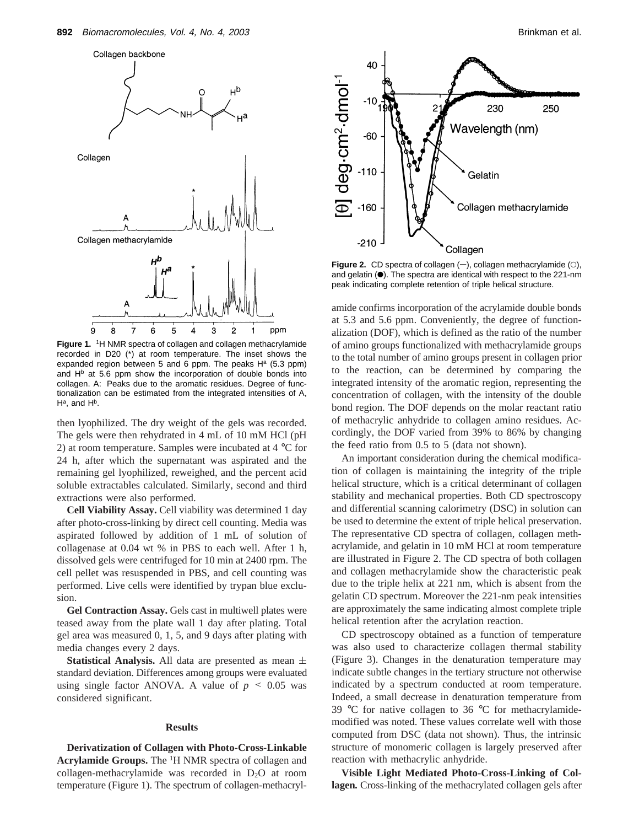

Figure 1. <sup>1</sup>H NMR spectra of collagen and collagen methacrylamide recorded in D20 (\*) at room temperature. The inset shows the expanded region between 5 and 6 ppm. The peaks  $H<sup>a</sup>$  (5.3 ppm) and  $H<sup>b</sup>$  at 5.6 ppm show the incorporation of double bonds into collagen. A: Peaks due to the aromatic residues. Degree of functionalization can be estimated from the integrated intensities of A,  $H^a$ , and  $H^b$ .

then lyophilized. The dry weight of the gels was recorded. The gels were then rehydrated in 4 mL of 10 mM HCl (pH 2) at room temperature. Samples were incubated at 4 °C for 24 h, after which the supernatant was aspirated and the remaining gel lyophilized, reweighed, and the percent acid soluble extractables calculated. Similarly, second and third extractions were also performed.

**Cell Viability Assay.** Cell viability was determined 1 day after photo-cross-linking by direct cell counting. Media was aspirated followed by addition of 1 mL of solution of collagenase at 0.04 wt % in PBS to each well. After 1 h, dissolved gels were centrifuged for 10 min at 2400 rpm. The cell pellet was resuspended in PBS, and cell counting was performed. Live cells were identified by trypan blue exclusion.

**Gel Contraction Assay.** Gels cast in multiwell plates were teased away from the plate wall 1 day after plating. Total gel area was measured 0, 1, 5, and 9 days after plating with media changes every 2 days.

**Statistical Analysis.** All data are presented as mean  $\pm$ standard deviation. Differences among groups were evaluated using single factor ANOVA. A value of  $p \leq 0.05$  was considered significant.

#### **Results**

**Derivatization of Collagen with Photo-Cross-Linkable** Acrylamide Groups. The <sup>1</sup>H NMR spectra of collagen and collagen-methacrylamide was recorded in  $D_2O$  at room temperature (Figure 1). The spectrum of collagen-methacryl-



**Figure 2.** CD spectra of collagen  $(-)$ , collagen methacrylamide  $(0)$ , and gelatin  $(\bullet)$ . The spectra are identical with respect to the 221-nm peak indicating complete retention of triple helical structure.

amide confirms incorporation of the acrylamide double bonds at 5.3 and 5.6 ppm. Conveniently, the degree of functionalization (DOF), which is defined as the ratio of the number of amino groups functionalized with methacrylamide groups to the total number of amino groups present in collagen prior to the reaction, can be determined by comparing the integrated intensity of the aromatic region, representing the concentration of collagen, with the intensity of the double bond region. The DOF depends on the molar reactant ratio of methacrylic anhydride to collagen amino residues. Accordingly, the DOF varied from 39% to 86% by changing the feed ratio from 0.5 to 5 (data not shown).

An important consideration during the chemical modification of collagen is maintaining the integrity of the triple helical structure, which is a critical determinant of collagen stability and mechanical properties. Both CD spectroscopy and differential scanning calorimetry (DSC) in solution can be used to determine the extent of triple helical preservation. The representative CD spectra of collagen, collagen methacrylamide, and gelatin in 10 mM HCl at room temperature are illustrated in Figure 2. The CD spectra of both collagen and collagen methacrylamide show the characteristic peak due to the triple helix at 221 nm, which is absent from the gelatin CD spectrum. Moreover the 221-nm peak intensities are approximately the same indicating almost complete triple helical retention after the acrylation reaction.

CD spectroscopy obtained as a function of temperature was also used to characterize collagen thermal stability (Figure 3). Changes in the denaturation temperature may indicate subtle changes in the tertiary structure not otherwise indicated by a spectrum conducted at room temperature. Indeed, a small decrease in denaturation temperature from 39 °C for native collagen to 36 °C for methacrylamidemodified was noted. These values correlate well with those computed from DSC (data not shown). Thus, the intrinsic structure of monomeric collagen is largely preserved after reaction with methacrylic anhydride.

**Visible Light Mediated Photo-Cross-Linking of Collagen***.* Cross-linking of the methacrylated collagen gels after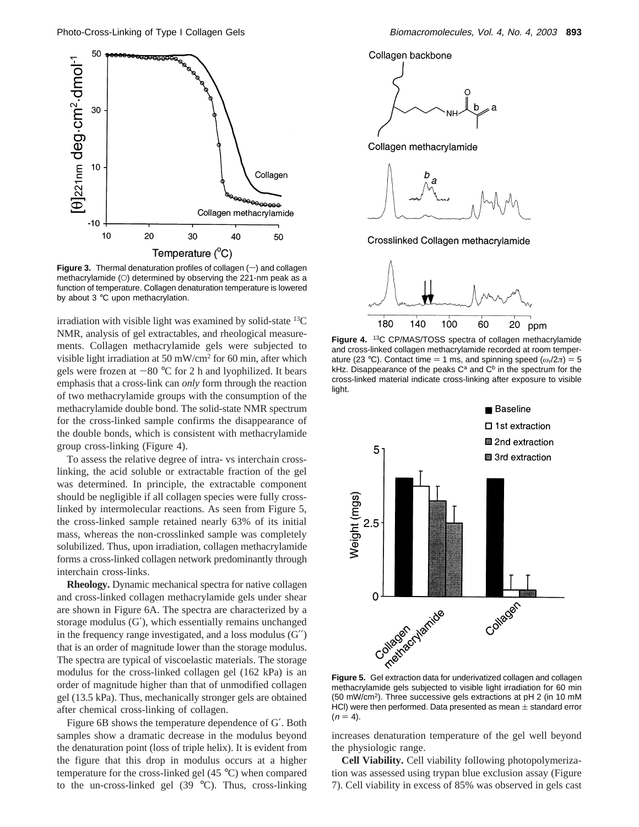

**Figure 3.** Thermal denaturation profiles of collagen  $(-)$  and collagen methacrylamide (O) determined by observing the 221-nm peak as a function of temperature. Collagen denaturation temperature is lowered by about 3 °C upon methacrylation.

irradiation with visible light was examined by solid-state  ${}^{13}C$ NMR, analysis of gel extractables, and rheological measurements. Collagen methacrylamide gels were subjected to visible light irradiation at 50 mW/cm2 for 60 min, after which gels were frozen at  $-80$  °C for 2 h and lyophilized. It bears emphasis that a cross-link can *only* form through the reaction of two methacrylamide groups with the consumption of the methacrylamide double bond. The solid-state NMR spectrum for the cross-linked sample confirms the disappearance of the double bonds, which is consistent with methacrylamide group cross-linking (Figure 4).

To assess the relative degree of intra- vs interchain crosslinking, the acid soluble or extractable fraction of the gel was determined. In principle, the extractable component should be negligible if all collagen species were fully crosslinked by intermolecular reactions. As seen from Figure 5, the cross-linked sample retained nearly 63% of its initial mass, whereas the non-crosslinked sample was completely solubilized. Thus, upon irradiation, collagen methacrylamide forms a cross-linked collagen network predominantly through interchain cross-links.

**Rheology.** Dynamic mechanical spectra for native collagen and cross-linked collagen methacrylamide gels under shear are shown in Figure 6A. The spectra are characterized by a storage modulus (G′), which essentially remains unchanged in the frequency range investigated, and a loss modulus (G′′) that is an order of magnitude lower than the storage modulus. The spectra are typical of viscoelastic materials. The storage modulus for the cross-linked collagen gel (162 kPa) is an order of magnitude higher than that of unmodified collagen gel (13.5 kPa). Thus, mechanically stronger gels are obtained after chemical cross-linking of collagen.

Figure 6B shows the temperature dependence of G′. Both samples show a dramatic decrease in the modulus beyond the denaturation point (loss of triple helix). It is evident from the figure that this drop in modulus occurs at a higher temperature for the cross-linked gel (45 °C) when compared to the un-cross-linked gel  $(39 \text{ °C})$ . Thus, cross-linking





**Figure 4.** 13C CP/MAS/TOSS spectra of collagen methacrylamide and cross-linked collagen methacrylamide recorded at room temperature (23 °C). Contact time = 1 ms, and spinning speed ( $\omega_r/2\pi$ ) = 5 kHz. Disappearance of the peaks  $C^a$  and  $C^b$  in the spectrum for the cross-linked material indicate cross-linking after exposure to visible light.



methacrylamide gels subjected to visible light irradiation for 60 min (50 mW/cm2). Three successive gels extractions at pH 2 (in 10 mM HCl) were then performed. Data presented as mean  $\pm$  standard error  $(n = 4)$ .

increases denaturation temperature of the gel well beyond the physiologic range.

**Cell Viability.** Cell viability following photopolymerization was assessed using trypan blue exclusion assay (Figure 7). Cell viability in excess of 85% was observed in gels cast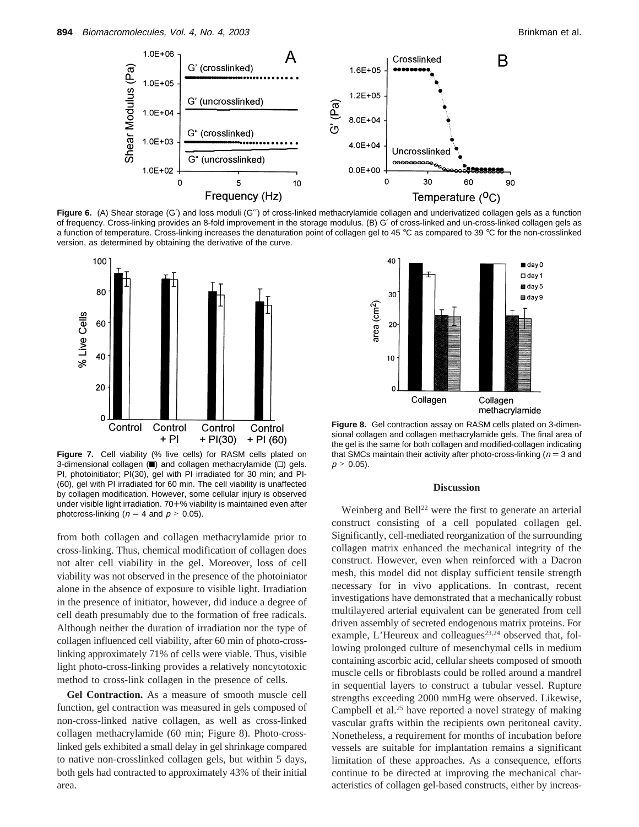

**Figure 6.** (A) Shear storage (G′) and loss moduli (G′′) of cross-linked methacrylamide collagen and underivatized collagen gels as a function of frequency. Cross-linking provides an 8-fold improvement in the storage modulus. (B) G′ of cross-linked and un-cross-linked collagen gels as a function of temperature. Cross-linking increases the denaturation point of collagen gel to 45 °C as compared to 39 °C for the non-crosslinked version, as determined by obtaining the derivative of the curve.



**Figure 7.** Cell viability (% live cells) for RASM cells plated on 3-dimensional collagen  $(\blacksquare)$  and collagen methacrylamide  $(\square)$  gels. PI, photoinitiator; PI(30), gel with PI irradiated for 30 min; and PI- (60), gel with PI irradiated for 60 min. The cell viability is unaffected by collagen modification. However, some cellular injury is observed under visible light irradiation. 70+% viability is maintained even after photcross-linking ( $n = 4$  and  $p > 0.05$ ).

from both collagen and collagen methacrylamide prior to cross-linking. Thus, chemical modification of collagen does not alter cell viability in the gel. Moreover, loss of cell viability was not observed in the presence of the photoiniator alone in the absence of exposure to visible light. Irradiation in the presence of initiator, however, did induce a degree of cell death presumably due to the formation of free radicals. Although neither the duration of irradiation nor the type of collagen influenced cell viability, after 60 min of photo-crosslinking approximately 71% of cells were viable. Thus, visible light photo-cross-linking provides a relatively noncytotoxic method to cross-link collagen in the presence of cells.

**Gel Contraction.** As a measure of smooth muscle cell function, gel contraction was measured in gels composed of non-cross-linked native collagen, as well as cross-linked collagen methacrylamide (60 min; Figure 8). Photo-crosslinked gels exhibited a small delay in gel shrinkage compared to native non-crosslinked collagen gels, but within 5 days, both gels had contracted to approximately 43% of their initial area.



**Figure 8.** Gel contraction assay on RASM cells plated on 3-dimensional collagen and collagen methacrylamide gels. The final area of the gel is the same for both collagen and modified-collagen indicating that SMCs maintain their activity after photo-cross-linking ( $n = 3$  and  $p > 0.05$ ).

## **Discussion**

Weinberg and Bell<sup>22</sup> were the first to generate an arterial construct consisting of a cell populated collagen gel. Significantly, cell-mediated reorganization of the surrounding collagen matrix enhanced the mechanical integrity of the construct. However, even when reinforced with a Dacron mesh, this model did not display sufficient tensile strength necessary for in vivo applications. In contrast, recent investigations have demonstrated that a mechanically robust multilayered arterial equivalent can be generated from cell driven assembly of secreted endogenous matrix proteins. For example, L'Heureux and colleagues<sup>23,24</sup> observed that, following prolonged culture of mesenchymal cells in medium containing ascorbic acid, cellular sheets composed of smooth muscle cells or fibroblasts could be rolled around a mandrel in sequential layers to construct a tubular vessel. Rupture strengths exceeding 2000 mmHg were observed. Likewise, Campbell et al. $25$  have reported a novel strategy of making vascular grafts within the recipients own peritoneal cavity. Nonetheless, a requirement for months of incubation before vessels are suitable for implantation remains a significant limitation of these approaches. As a consequence, efforts continue to be directed at improving the mechanical characteristics of collagen gel-based constructs, either by increas